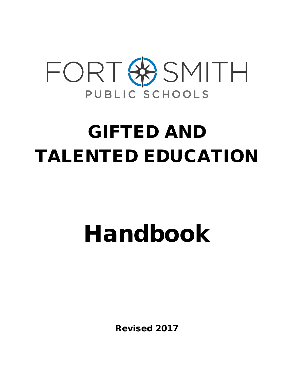

## GIFTED AND TALENTED EDUCATION

# Handbook

Revised 2017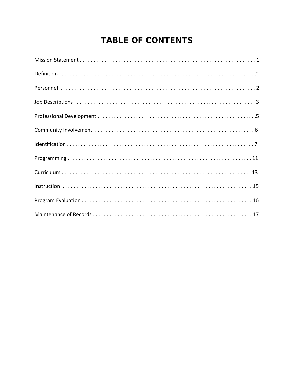## **TABLE OF CONTENTS**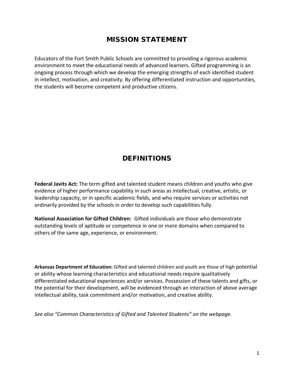## MISSION STATEMENT

Educators of the Fort Smith Public Schools are committed to providing a rigorous academic environment to meet the educational needs of advanced learners. Gifted programming is an ongoing process through which we develop the emerging strengths of each identified student in intellect, motivation, and creativity. By offering differentiated instruction and opportunities, the students will become competent and productive citizens.

## **DEFINITIONS**

**Federal Javits Act:** The term gifted and talented student means children and youths who give evidence of higher performance capability in such areas as intellectual, creative, artistic, or leadership capacity, or in specific academic fields, and who require services or activities not ordinarily provided by the schools in order to develop such capabilities fully.

**National Association for Gifted Children:** Gifted individuals are those who demonstrate outstanding levels of aptitude or competence in one or more domains when compared to others of the same age, experience, or environment.

**Arkansas Department of Education:** Gifted and talented children and youth are those of high potential or ability whose learning characteristics and educational needs require qualitatively differentiated educational experiences and/or services. Possession of these talents and gifts, or the potential for their development, will be evidenced through an interaction of above average intellectual ability, task commitment and/or motivation, and creative ability.

*See also "Common Characteristics of Gifted and Talented Students" on the webpage.*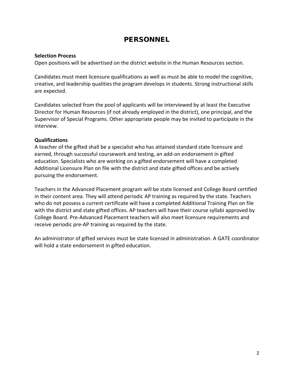## PERSONNEL

#### **Selection Process**

Open positions will be advertised on the district website in the Human Resources section.

Candidates must meet licensure qualifications as well as must be able to model the cognitive, creative, and leadership qualities the program develops in students. Strong instructional skills are expected.

Candidates selected from the pool of applicants will be interviewed by at least the Executive Director for Human Resources (if not already employed in the district), one principal, and the Supervisor of Special Programs. Other appropriate people may be invited to participate in the interview.

#### **Qualifications**

A teacher of the gifted shall be a specialist who has attained standard state licensure and earned, through successful coursework and testing, an add-on endorsement in gifted education. Specialists who are working on a gifted endorsement will have a completed Additional Licensure Plan on file with the district and state gifted offices and be actively pursuing the endorsement.

Teachers in the Advanced Placement program will be state licensed and College Board certified in their content area. They will attend periodic AP training as required by the state. Teachers who do not possess a current certificate will have a completed Additional Training Plan on file with the district and state gifted offices. AP teachers will have their course syllabi approved by College Board. Pre-Advanced Placement teachers will also meet licensure requirements and receive periodic pre-AP training as required by the state.

An administrator of gifted services must be state licensed in administration. A GATE coordinator will hold a state endorsement in gifted education.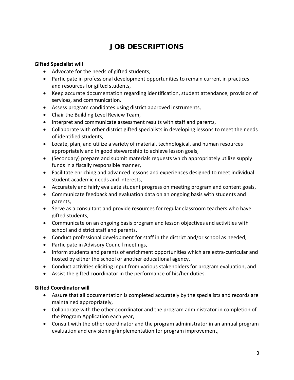## JOB DESCRIPTIONS

#### **Gifted Specialist will**

- Advocate for the needs of gifted students,
- Participate in professional development opportunities to remain current in practices and resources for gifted students,
- Keep accurate documentation regarding identification, student attendance, provision of services, and communication.
- Assess program candidates using district approved instruments,
- Chair the Building Level Review Team,
- Interpret and communicate assessment results with staff and parents,
- Collaborate with other district gifted specialists in developing lessons to meet the needs of identified students,
- Locate, plan, and utilize a variety of material, technological, and human resources appropriately and in good stewardship to achieve lesson goals,
- (Secondary) prepare and submit materials requests which appropriately utilize supply funds in a fiscally responsible manner,
- Facilitate enriching and advanced lessons and experiences designed to meet individual student academic needs and interests,
- Accurately and fairly evaluate student progress on meeting program and content goals,
- Communicate feedback and evaluation data on an ongoing basis with students and parents,
- Serve as a consultant and provide resources for regular classroom teachers who have gifted students,
- Communicate on an ongoing basis program and lesson objectives and activities with school and district staff and parents,
- Conduct professional development for staff in the district and/or school as needed,
- Participate in Advisory Council meetings,
- Inform students and parents of enrichment opportunities which are extra-curricular and hosted by either the school or another educational agency,
- Conduct activities eliciting input from various stakeholders for program evaluation, and
- Assist the gifted coordinator in the performance of his/her duties.

#### **Gifted Coordinator will**

- Assure that all documentation is completed accurately by the specialists and records are maintained appropriately,
- Collaborate with the other coordinator and the program administrator in completion of the Program Application each year,
- Consult with the other coordinator and the program administrator in an annual program evaluation and envisioning/implementation for program improvement,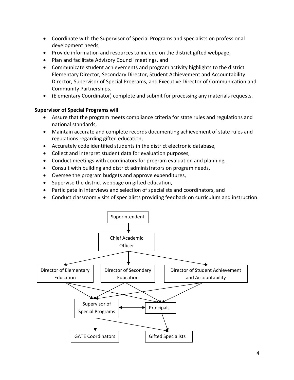- Coordinate with the Supervisor of Special Programs and specialists on professional development needs,
- Provide information and resources to include on the district gifted webpage,
- Plan and facilitate Advisory Council meetings, and
- Communicate student achievements and program activity highlights to the district Elementary Director, Secondary Director, Student Achievement and Accountability Director, Supervisor of Special Programs, and Executive Director of Communication and Community Partnerships.
- (Elementary Coordinator) complete and submit for processing any materials requests.

#### **Supervisor of Special Programs will**

- Assure that the program meets compliance criteria for state rules and regulations and national standards,
- Maintain accurate and complete records documenting achievement of state rules and regulations regarding gifted education,
- Accurately code identified students in the district electronic database,
- Collect and interpret student data for evaluation purposes,
- Conduct meetings with coordinators for program evaluation and planning,
- Consult with building and district administrators on program needs,
- Oversee the program budgets and approve expenditures,
- Supervise the district webpage on gifted education,
- Participate in interviews and selection of specialists and coordinators, and
- Conduct classroom visits of specialists providing feedback on curriculum and instruction.

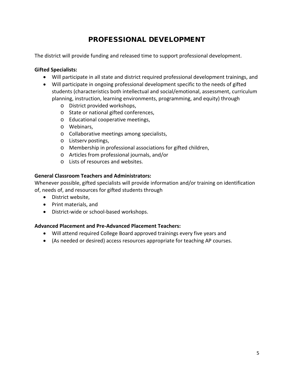## PROFESSIONAL DEVELOPMENT

The district will provide funding and released time to support professional development.

#### **Gifted Specialists:**

- Will participate in all state and district required professional development trainings, and
- Will participate in ongoing professional development specific to the needs of gifted students (characteristics both intellectual and social/emotional, assessment, curriculum planning, instruction, learning environments, programming, and equity) through
	- o District provided workshops,
	- o State or national gifted conferences,
	- o Educational cooperative meetings,
	- o Webinars,
	- o Collaborative meetings among specialists,
	- o Listserv postings,
	- o Membership in professional associations for gifted children,
	- o Articles from professional journals, and/or
	- o Lists of resources and websites.

#### **General Classroom Teachers and Administrators:**

Whenever possible, gifted specialists will provide information and/or training on identification of, needs of, and resources for gifted students through

- District website,
- Print materials, and
- District-wide or school-based workshops.

#### **Advanced Placement and Pre-Advanced Placement Teachers:**

- Will attend required College Board approved trainings every five years and
- (As needed or desired) access resources appropriate for teaching AP courses.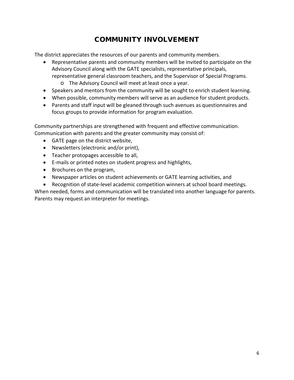## COMMUNITY INVOLVEMENT

The district appreciates the resources of our parents and community members.

- Representative parents and community members will be invited to participate on the Advisory Council along with the GATE specialists, representative principals, representative general classroom teachers, and the Supervisor of Special Programs.
	- o The Advisory Council will meet at least once a year.
- Speakers and mentors from the community will be sought to enrich student learning.
- When possible, community members will serve as an audience for student products.
- Parents and staff input will be gleaned through such avenues as questionnaires and focus groups to provide information for program evaluation.

Community partnerships are strengthened with frequent and effective communication. Communication with parents and the greater community may consist of:

- GATE page on the district website,
- Newsletters (electronic and/or print),
- Teacher protopages accessible to all,
- E-mails or printed notes on student progress and highlights,
- Brochures on the program,
- Newspaper articles on student achievements or GATE learning activities, and
- Recognition of state-level academic competition winners at school board meetings.

When needed, forms and communication will be translated into another language for parents. Parents may request an interpreter for meetings.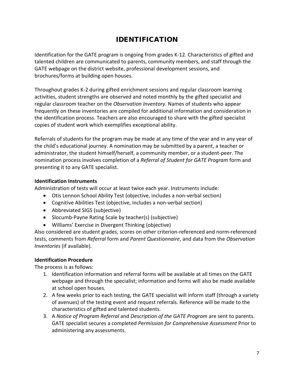## IDENTIFICATION

Identification for the GATE program is ongoing from grades K-12. Characteristics of gifted and talented children are communicated to parents, community members, and staff through the GATE webpage on the district website, professional development sessions, and brochures/forms at building open houses.

Throughout grades K-2 during gifted enrichment sessions and regular classroom learning activities, student strengths are observed and noted monthly by the gifted specialist and regular classroom teacher on the *Observation Inventory.* Names of students who appear frequently on these inventories are compiled for additional information and consideration in the identification process. Teachers are also encouraged to share with the gifted specialist copies of student work which exemplifies exceptional ability.

Referrals of students for the program may be made at any time of the year and in any year of the child's educational journey. A nomination may be submitted by a parent, a teacher or administrator, the student himself/herself, a community member, or a student-peer. The nomination process involves completion of a *Referral of Student for GATE Program* form and presenting it to any GATE specialist.

#### **Identification Instruments**

Administration of tests will occur at least twice each year. Instruments include:

- Otis Lennon School Ability Test (objective, includes a non-verbal section)
- Cognitive Abilities Test (objective, includes a non-verbal section)
- Abbreviated SIGS (subjective)
- Slocumb-Payne Rating Scale by teacher(s) (subjective)
- Williams' Exercise in Divergent Thinking (objective)

Also considered are student grades, scores on other criterion-referenced and norm-referenced tests, comments from *Referral* form and *Parent Questionnaire*, and data from the *Observation Inventories* (if available).

#### **Identification Procedure**

The process is as follows:

- 1. Identification information and referral forms will be available at all times on the GATE webpage and through the specialist; information and forms will also be made available at school open houses.
- 2. A few weeks prior to each testing, the GATE specialist will inform staff (through a variety of avenues) of the testing event and request referrals. Reference will be made to the characteristics of gifted and talented students.
- 3. A *Notice of Program Referral* and *Description of the GATE Program* are sent to parents. GATE specialist secures a completed *Permission for Comprehensive Assessment* Prior to administering any assessments.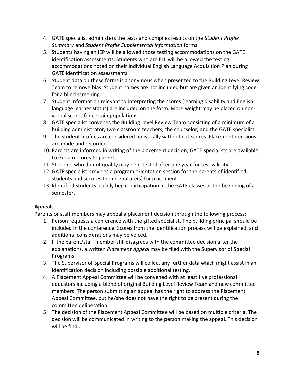- 4. GATE specialist administers the tests and compiles results on the *Student Profile Summary* and *Student Profile Supplemental Information* forms.
- 5. Students having an IEP will be allowed those testing accommodations on the GATE identification assessments. Students who are ELL will be allowed the testing accommodations noted on their Individual English Language Acquisition Plan during GATE identification assessments.
- 6. Student data on these forms is anonymous when presented to the Building Level Review Team to remove bias. Student names are not included but are given an identifying code for a blind screening.
- 7. Student information relevant to interpreting the scores (learning disability and English language learner status) are included on the form. More weight may be placed on nonverbal scores for certain populations.
- 8. GATE specialist convenes the Building Level Review Team consisting of a minimum of a building administrator, two classroom teachers, the counselor, and the GATE specialist.
- 9. The student profiles are considered holistically without cut-scores. Placement decisions are made and recorded.
- 10. Parents are informed in writing of the placement decision; GATE specialists are available to explain scores to parents.
- 11. Students who do not qualify may be retested after one year for test validity.
- 12. GATE specialist provides a program orientation session for the parents of identified students and secures their signature(s) for placement.
- 13. Identified students usually begin participation in the GATE classes at the beginning of a semester.

#### **Appeals**

Parents or staff members may appeal a placement decision through the following process:

- 1. Person requests a conference with the gifted specialist. The building principal should be included in the conference. Scores from the identification process will be explained, and additional considerations may be voiced.
- 2. If the parent/staff member still disagrees with the committee decision after the explanations, a written *Placement Appeal* may be filed with the Supervisor of Special Programs.
- 3. The Supervisor of Special Programs will collect any further data which might assist in an identification decision including possible additional testing.
- 4. A Placement Appeal Committee will be convened with at least five professional educators including a blend of original Building Level Review Team and new committee members. The person submitting an appeal has the right to address the Placement Appeal Committee, but he/she does not have the right to be present during the committee deliberation.
- 5. The decision of the Placement Appeal Committee will be based on multiple criteria. The decision will be communicated in writing to the person making the appeal. This decision will be final.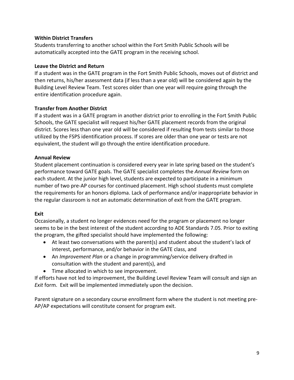#### **Within District Transfers**

Students transferring to another school within the Fort Smith Public Schools will be automatically accepted into the GATE program in the receiving school.

#### **Leave the District and Return**

If a student was in the GATE program in the Fort Smith Public Schools, moves out of district and then returns, his/her assessment data (if less than a year old) will be considered again by the Building Level Review Team. Test scores older than one year will require going through the entire identification procedure again.

#### **Transfer from Another District**

If a student was in a GATE program in another district prior to enrolling in the Fort Smith Public Schools, the GATE specialist will request his/her GATE placement records from the original district. Scores less than one year old will be considered if resulting from tests similar to those utilized by the FSPS identification process. If scores are older than one year or tests are not equivalent, the student will go through the entire identification procedure.

#### **Annual Review**

Student placement continuation is considered every year in late spring based on the student's performance toward GATE goals. The GATE specialist completes the *Annual Review* form on each student. At the junior high level, students are expected to participate in a minimum number of two pre-AP courses for continued placement. High school students must complete the requirements for an honors diploma. Lack of performance and/or inappropriate behavior in the regular classroom is not an automatic determination of exit from the GATE program.

#### **Exit**

Occasionally, a student no longer evidences need for the program or placement no longer seems to be in the best interest of the student according to ADE Standards 7.05. Prior to exiting the program, the gifted specialist should have implemented the following:

- At least two conversations with the parent(s) and student about the student's lack of interest, performance, and/or behavior in the GATE class, and
- An *Improvement Plan* or a change in programming/service delivery drafted in consultation with the student and parent(s), and
- Time allocated in which to see improvement.

If efforts have not led to improvement, the Building Level Review Team will consult and sign an *Exit* form. Exit will be implemented immediately upon the decision.

Parent signature on a secondary course enrollment form where the student is not meeting pre-AP/AP expectations will constitute consent for program exit.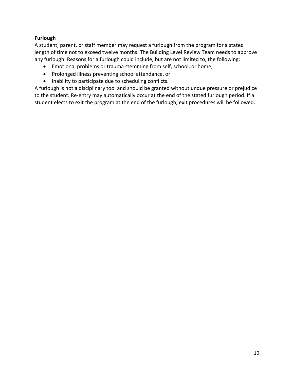#### **Furlough**

A student, parent, or staff member may request a furlough from the program for a stated length of time not to exceed twelve months. The Building Level Review Team needs to approve any furlough. Reasons for a furlough could include, but are not limited to, the following:

- Emotional problems or trauma stemming from self, school, or home,
- Prolonged illness preventing school attendance, or
- Inability to participate due to scheduling conflicts.

A furlough is not a disciplinary tool and should be granted without undue pressure or prejudice to the student. Re-entry may automatically occur at the end of the stated furlough period. If a student elects to exit the program at the end of the furlough, exit procedures will be followed.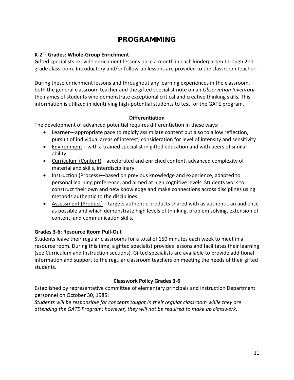## PROGRAMMING

#### **K-2nd Grades: Whole-Group Enrichment**

Gifted specialists provide enrichment lessons once a month in each kindergarten through 2nd grade classroom. Introductory and/or follow-up lessons are provided to the classroom teacher.

During these enrichment lessons and throughout any learning experiences in the classroom, both the general classroom teacher and the gifted specialist note on an *Observation Inventory* the names of students who demonstrate exceptional critical and creative thinking skills*.* This information is utilized in identifying high-potential students to test for the GATE program.

#### **Differentiation**

The development of advanced potential requires differentiation in these ways:

- Learner—appropriate pace to rapidly assimilate content but also to allow reflection, pursuit of individual areas of interest, consideration for level of intensity and sensitivity
- Environment—with a trained specialist in gifted education and with peers of similar ability
- Curriculum (Content)—accelerated and enriched content, advanced complexity of material and skills, interdisciplinary
- Instruction (Process)—based on previous knowledge and experience, adapted to personal learning preference, and aimed at high cognitive levels. Students work to construct their own and new knowledge and make connections across disciplines using methods authentic to the disciplines.
- Assessment (Product)—targets authentic products shared with as authentic an audience as possible and which demonstrate high levels of thinking, problem solving, extension of content, and communication skills.

#### **Grades 3-6: Resource Room Pull-Out**

Students leave their regular classrooms for a total of 150 minutes each week to meet in a resource room. During this time, a gifted specialist provides lessons and facilitates their learning (see Curriculum and Instruction sections). Gifted specialists are available to provide additional information and support to the regular classroom teachers on meeting the needs of their gifted students.

#### **Classwork Policy Grades 3-6**

Established by representative committee of elementary principals and Instruction Department personnel on October 30, 1985:

*Students will be responsible for concepts taught in their regular classroom while they are attending the GATE Program; however, they will not be required to make up classwork.*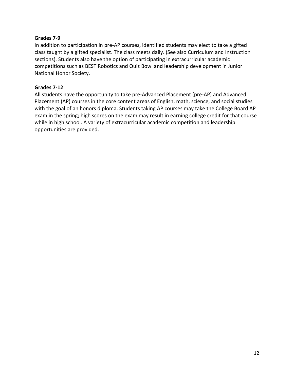#### **Grades 7-9**

In addition to participation in pre-AP courses, identified students may elect to take a gifted class taught by a gifted specialist. The class meets daily. (See also Curriculum and Instruction sections). Students also have the option of participating in extracurricular academic competitions such as BEST Robotics and Quiz Bowl and leadership development in Junior National Honor Society.

#### **Grades 7-12**

All students have the opportunity to take pre-Advanced Placement (pre-AP) and Advanced Placement (AP) courses in the core content areas of English, math, science, and social studies with the goal of an honors diploma. Students taking AP courses may take the College Board AP exam in the spring; high scores on the exam may result in earning college credit for that course while in high school. A variety of extracurricular academic competition and leadership opportunities are provided.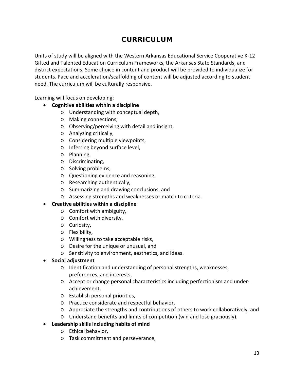## CURRICULUM

Units of study will be aligned with the Western Arkansas Educational Service Cooperative K-12 Gifted and Talented Education Curriculum Frameworks, the Arkansas State Standards, and district expectations. Some choice in content and product will be provided to individualize for students. Pace and acceleration/scaffolding of content will be adjusted according to student need. The curriculum will be culturally responsive.

Learning will focus on developing:

- **Cognitive abilities within a discipline**
	- o Understanding with conceptual depth,
	- o Making connections,
	- o Observing/perceiving with detail and insight,
	- o Analyzing critically,
	- o Considering multiple viewpoints,
	- o Inferring beyond surface level,
	- o Planning,
	- o Discriminating,
	- o Solving problems,
	- o Questioning evidence and reasoning,
	- o Researching authentically,
	- o Summarizing and drawing conclusions, and
	- o Assessing strengths and weaknesses or match to criteria.

#### • **Creative abilities within a discipline**

- o Comfort with ambiguity,
- o Comfort with diversity,
- o Curiosity,
- o Flexibility,
- o Willingness to take acceptable risks,
- o Desire for the unique or unusual, and
- o Sensitivity to environment, aesthetics, and ideas.
- **Social adjustment**
	- o Identification and understanding of personal strengths, weaknesses, preferences, and interests,
	- o Accept or change personal characteristics including perfectionism and underachievement,
	- o Establish personal priorities,
	- o Practice considerate and respectful behavior,
	- o Appreciate the strengths and contributions of others to work collaboratively, and
	- o Understand benefits and limits of competition (win and lose graciously).
- **Leadership skills including habits of mind**
	- o Ethical behavior,
	- o Task commitment and perseverance,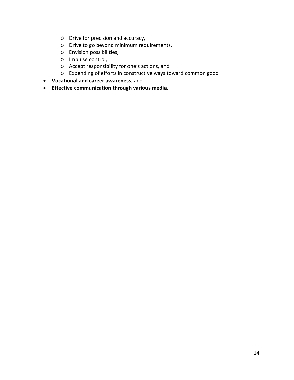- o Drive for precision and accuracy,
- o Drive to go beyond minimum requirements,
- o Envision possibilities,
- o Impulse control,
- o Accept responsibility for one's actions, and
- o Expending of efforts in constructive ways toward common good
- **Vocational and career awareness**, and
- **Effective communication through various media**.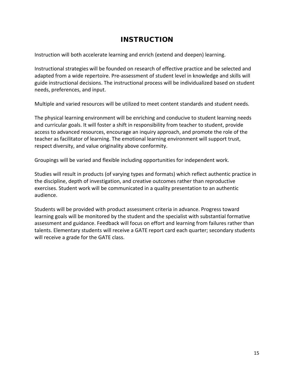## INSTRUCTION

Instruction will both accelerate learning and enrich (extend and deepen) learning.

Instructional strategies will be founded on research of effective practice and be selected and adapted from a wide repertoire. Pre-assessment of student level in knowledge and skills will guide instructional decisions. The instructional process will be individualized based on student needs, preferences, and input.

Multiple and varied resources will be utilized to meet content standards and student needs.

The physical learning environment will be enriching and conducive to student learning needs and curricular goals. It will foster a shift in responsibility from teacher to student, provide access to advanced resources, encourage an inquiry approach, and promote the role of the teacher as facilitator of learning. The emotional learning environment will support trust, respect diversity, and value originality above conformity.

Groupings will be varied and flexible including opportunities for independent work.

Studies will result in products (of varying types and formats) which reflect authentic practice in the discipline, depth of investigation, and creative outcomes rather than reproductive exercises. Student work will be communicated in a quality presentation to an authentic audience.

Students will be provided with product assessment criteria in advance. Progress toward learning goals will be monitored by the student and the specialist with substantial formative assessment and guidance. Feedback will focus on effort and learning from failures rather than talents. Elementary students will receive a GATE report card each quarter; secondary students will receive a grade for the GATE class.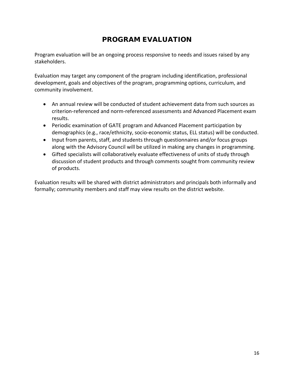## PROGRAM EVALUATION

Program evaluation will be an ongoing process responsive to needs and issues raised by any stakeholders.

Evaluation may target any component of the program including identification, professional development, goals and objectives of the program, programming options, curriculum, and community involvement.

- An annual review will be conducted of student achievement data from such sources as criterion-referenced and norm-referenced assessments and Advanced Placement exam results.
- Periodic examination of GATE program and Advanced Placement participation by demographics (e.g., race/ethnicity, socio-economic status, ELL status) will be conducted.
- Input from parents, staff, and students through questionnaires and/or focus groups along with the Advisory Council will be utilized in making any changes in programming.
- Gifted specialists will collaboratively evaluate effectiveness of units of study through discussion of student products and through comments sought from community review of products.

Evaluation results will be shared with district administrators and principals both informally and formally; community members and staff may view results on the district website.